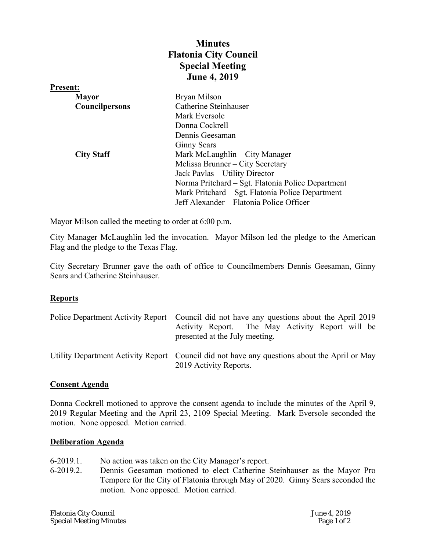## **Minutes Flatonia City Council Special Meeting June 4, 2019**

| <b>Present:</b>       |                                                   |
|-----------------------|---------------------------------------------------|
| <b>Mayor</b>          | Bryan Milson                                      |
| <b>Councilpersons</b> | Catherine Steinhauser                             |
|                       | Mark Eversole                                     |
|                       | Donna Cockrell                                    |
|                       | Dennis Geesaman                                   |
|                       | <b>Ginny Sears</b>                                |
| <b>City Staff</b>     | Mark McLaughlin – City Manager                    |
|                       | Melissa Brunner - City Secretary                  |
|                       | Jack Pavlas – Utility Director                    |
|                       | Norma Pritchard – Sgt. Flatonia Police Department |
|                       | Mark Pritchard – Sgt. Flatonia Police Department  |
|                       | Jeff Alexander – Flatonia Police Officer          |

Mayor Milson called the meeting to order at 6:00 p.m.

City Manager McLaughlin led the invocation. Mayor Milson led the pledge to the American Flag and the pledge to the Texas Flag.

City Secretary Brunner gave the oath of office to Councilmembers Dennis Geesaman, Ginny Sears and Catherine Steinhauser.

## **Reports**

| Police Department Activity Report Council did not have any questions about the April 2019<br>Activity Report. The May Activity Report will be<br>presented at the July meeting. |
|---------------------------------------------------------------------------------------------------------------------------------------------------------------------------------|
| Utility Department Activity Report Council did not have any questions about the April or May<br>2019 Activity Reports.                                                          |

## **Consent Agenda**

Donna Cockrell motioned to approve the consent agenda to include the minutes of the April 9, 2019 Regular Meeting and the April 23, 2109 Special Meeting. Mark Eversole seconded the motion. None opposed. Motion carried.

## **Deliberation Agenda**

- 6-2019.1. No action was taken on the City Manager's report.
- 6-2019.2. Dennis Geesaman motioned to elect Catherine Steinhauser as the Mayor Pro Tempore for the City of Flatonia through May of 2020. Ginny Sears seconded the motion. None opposed. Motion carried.